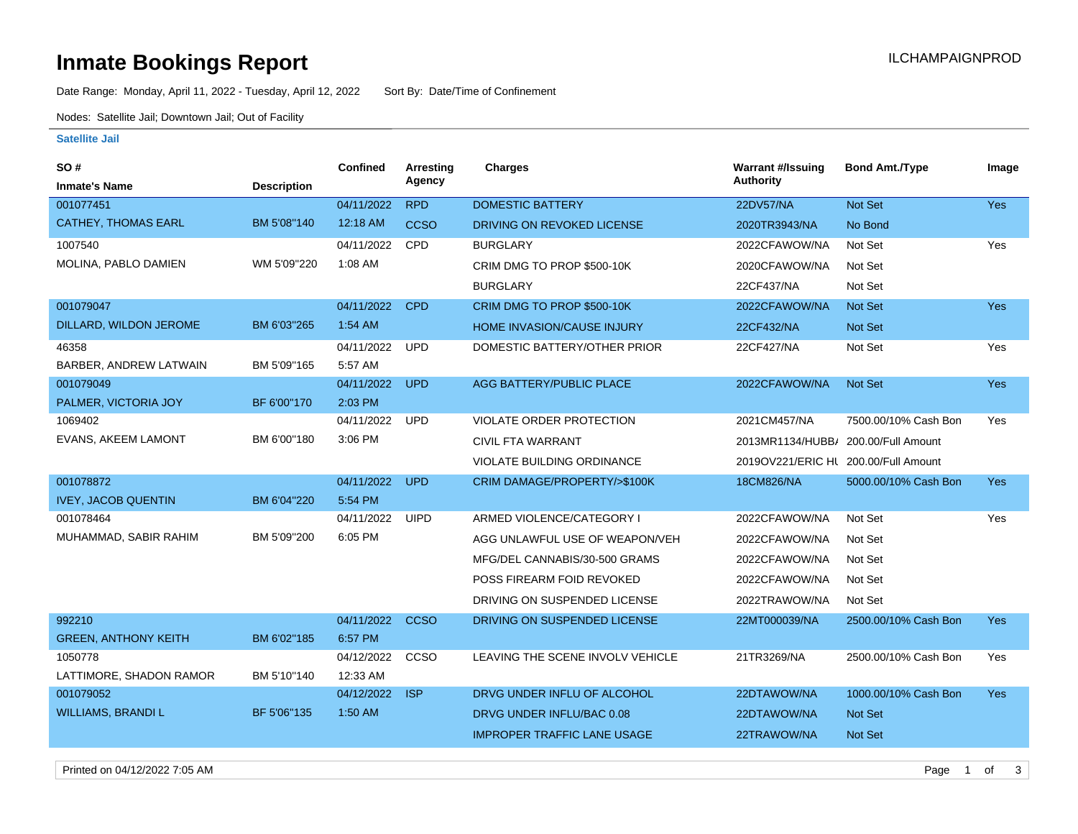# **Inmate Bookings Report Inmate Bookings Report**

Date Range: Monday, April 11, 2022 - Tuesday, April 12, 2022 Sort By: Date/Time of Confinement

Nodes: Satellite Jail; Downtown Jail; Out of Facility

#### **Satellite Jail**

| SO#                         |                    | Confined   | <b>Arresting</b> | Charges                            | <b>Warrant #/Issuing</b>             | <b>Bond Amt./Type</b> | Image      |
|-----------------------------|--------------------|------------|------------------|------------------------------------|--------------------------------------|-----------------------|------------|
| <b>Inmate's Name</b>        | <b>Description</b> |            | Agency           |                                    | Authority                            |                       |            |
| 001077451                   |                    | 04/11/2022 | <b>RPD</b>       | <b>DOMESTIC BATTERY</b>            | 22DV57/NA                            | Not Set               | Yes        |
| <b>CATHEY, THOMAS EARL</b>  | BM 5'08"140        | 12:18 AM   | <b>CCSO</b>      | DRIVING ON REVOKED LICENSE         | 2020TR3943/NA                        | No Bond               |            |
| 1007540                     |                    | 04/11/2022 | <b>CPD</b>       | <b>BURGLARY</b>                    | 2022CFAWOW/NA                        | Not Set               | Yes        |
| MOLINA, PABLO DAMIEN        | WM 5'09"220        | 1:08 AM    |                  | CRIM DMG TO PROP \$500-10K         | 2020CFAWOW/NA                        | Not Set               |            |
|                             |                    |            |                  | <b>BURGLARY</b>                    | 22CF437/NA                           | Not Set               |            |
| 001079047                   |                    | 04/11/2022 | <b>CPD</b>       | CRIM DMG TO PROP \$500-10K         | 2022CFAWOW/NA                        | Not Set               | <b>Yes</b> |
| DILLARD, WILDON JEROME      | BM 6'03"265        | 1:54 AM    |                  | <b>HOME INVASION/CAUSE INJURY</b>  | 22CF432/NA                           | Not Set               |            |
| 46358                       |                    | 04/11/2022 | <b>UPD</b>       | DOMESTIC BATTERY/OTHER PRIOR       | 22CF427/NA                           | Not Set               | Yes        |
| BARBER, ANDREW LATWAIN      | BM 5'09"165        | 5:57 AM    |                  |                                    |                                      |                       |            |
| 001079049                   |                    | 04/11/2022 | <b>UPD</b>       | AGG BATTERY/PUBLIC PLACE           | 2022CFAWOW/NA                        | Not Set               | <b>Yes</b> |
| PALMER, VICTORIA JOY        | BF 6'00"170        | 2:03 PM    |                  |                                    |                                      |                       |            |
| 1069402                     |                    | 04/11/2022 | <b>UPD</b>       | <b>VIOLATE ORDER PROTECTION</b>    | 2021CM457/NA                         | 7500.00/10% Cash Bon  | Yes        |
| EVANS, AKEEM LAMONT         | BM 6'00"180        | 3:06 PM    |                  | CIVIL FTA WARRANT                  | 2013MR1134/HUBB/ 200.00/Full Amount  |                       |            |
|                             |                    |            |                  | VIOLATE BUILDING ORDINANCE         | 2019OV221/ERIC HL 200.00/Full Amount |                       |            |
| 001078872                   |                    | 04/11/2022 | <b>UPD</b>       | CRIM DAMAGE/PROPERTY/>\$100K       | 18CM826/NA                           | 5000.00/10% Cash Bon  | <b>Yes</b> |
| <b>IVEY, JACOB QUENTIN</b>  | BM 6'04"220        | 5:54 PM    |                  |                                    |                                      |                       |            |
| 001078464                   |                    | 04/11/2022 | <b>UIPD</b>      | ARMED VIOLENCE/CATEGORY I          | 2022CFAWOW/NA                        | Not Set               | Yes        |
| MUHAMMAD, SABIR RAHIM       | BM 5'09"200        | 6:05 PM    |                  | AGG UNLAWFUL USE OF WEAPON/VEH     | 2022CFAWOW/NA                        | Not Set               |            |
|                             |                    |            |                  | MFG/DEL CANNABIS/30-500 GRAMS      | 2022CFAWOW/NA                        | Not Set               |            |
|                             |                    |            |                  | POSS FIREARM FOID REVOKED          | 2022CFAWOW/NA                        | Not Set               |            |
|                             |                    |            |                  | DRIVING ON SUSPENDED LICENSE       | 2022TRAWOW/NA                        | Not Set               |            |
| 992210                      |                    | 04/11/2022 | <b>CCSO</b>      | DRIVING ON SUSPENDED LICENSE       | 22MT000039/NA                        | 2500.00/10% Cash Bon  | <b>Yes</b> |
| <b>GREEN, ANTHONY KEITH</b> | BM 6'02"185        | 6:57 PM    |                  |                                    |                                      |                       |            |
| 1050778                     |                    | 04/12/2022 | CCSO             | LEAVING THE SCENE INVOLV VEHICLE   | 21TR3269/NA                          | 2500.00/10% Cash Bon  | Yes        |
| LATTIMORE, SHADON RAMOR     | BM 5'10"140        | 12:33 AM   |                  |                                    |                                      |                       |            |
| 001079052                   |                    | 04/12/2022 | <b>ISP</b>       | DRVG UNDER INFLU OF ALCOHOL        | 22DTAWOW/NA                          | 1000.00/10% Cash Bon  | <b>Yes</b> |
| <b>WILLIAMS, BRANDI L</b>   | BF 5'06"135        | 1:50 AM    |                  | DRVG UNDER INFLU/BAC 0.08          | 22DTAWOW/NA                          | <b>Not Set</b>        |            |
|                             |                    |            |                  | <b>IMPROPER TRAFFIC LANE USAGE</b> | 22TRAWOW/NA                          | <b>Not Set</b>        |            |
|                             |                    |            |                  |                                    |                                      |                       |            |

Printed on 04/12/2022 7:05 AM **Page 1 of 3**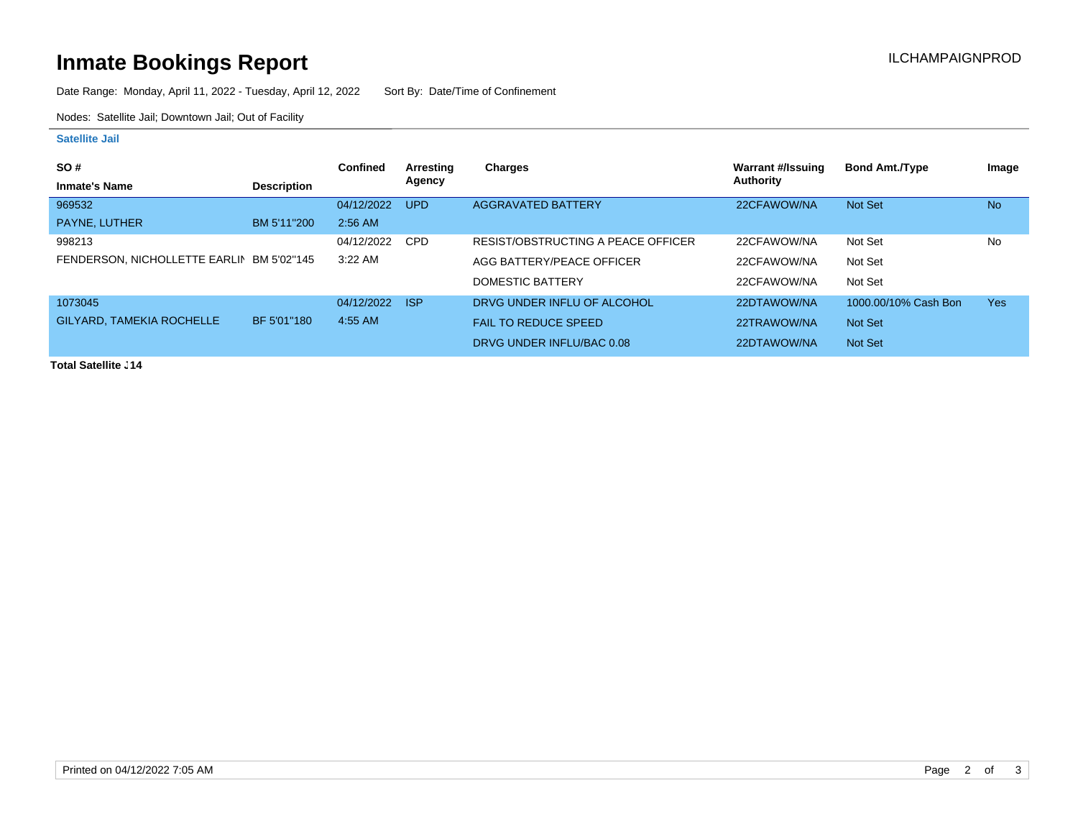# **Inmate Bookings Report Installation ILCHAMPAIGNPROD**

Date Range: Monday, April 11, 2022 - Tuesday, April 12, 2022 Sort By: Date/Time of Confinement

Nodes: Satellite Jail; Downtown Jail; Out of Facility

#### **Satellite Jail**

|                                           | <b>Confined</b> | Arresting  | <b>Charges</b>                     | Warrant #/Issuing | <b>Bond Amt./Type</b> | Image      |
|-------------------------------------------|-----------------|------------|------------------------------------|-------------------|-----------------------|------------|
| <b>Description</b>                        |                 |            |                                    |                   |                       |            |
|                                           | 04/12/2022      | <b>UPD</b> | <b>AGGRAVATED BATTERY</b>          | 22CFAWOW/NA       | Not Set               | <b>No</b>  |
| BM 5'11"200                               | $2:56$ AM       |            |                                    |                   |                       |            |
|                                           | 04/12/2022      | <b>CPD</b> | RESIST/OBSTRUCTING A PEACE OFFICER | 22CFAWOW/NA       | Not Set               | No         |
| FENDERSON, NICHOLLETTE EARLIN BM 5'02"145 | $3:22$ AM       |            | AGG BATTERY/PEACE OFFICER          | 22CFAWOW/NA       | Not Set               |            |
|                                           |                 |            | DOMESTIC BATTERY                   | 22CFAWOW/NA       | Not Set               |            |
|                                           | 04/12/2022      |            | DRVG UNDER INFLU OF ALCOHOL        | 22DTAWOW/NA       | 1000.00/10% Cash Bon  | <b>Yes</b> |
| BF 5'01"180                               | $4:55$ AM       |            | <b>FAIL TO REDUCE SPEED</b>        | 22TRAWOW/NA       | Not Set               |            |
|                                           |                 |            | DRVG UNDER INFLU/BAC 0.08          | 22DTAWOW/NA       | Not Set               |            |
|                                           |                 |            | Agency<br><b>AISP</b>              |                   | Authority             |            |

**Total Satellite J14**